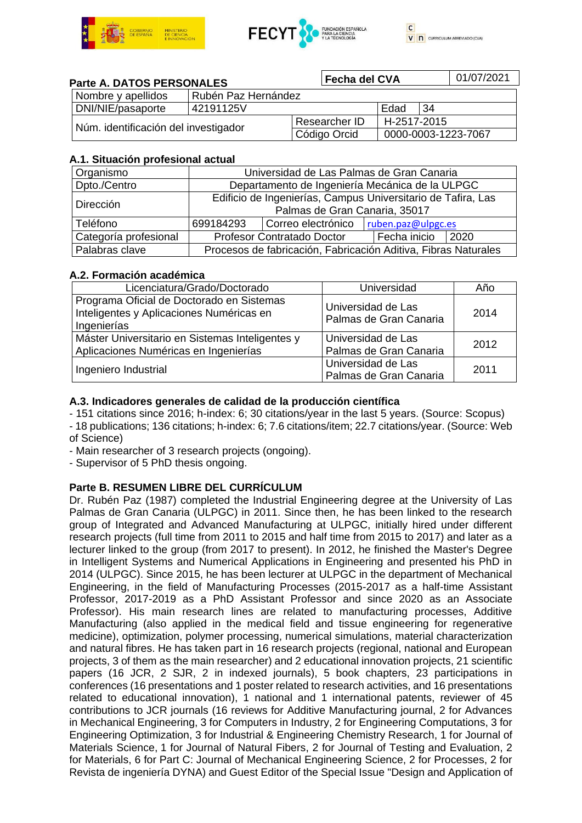



#### **Parte A. DATOS PERSONALES** Nombre y apellidos | Rubén Paz Hernández DNI/NIE/pasaporte 42191125V | Edad 34 Núm. identificación del investigador Researcher ID H-2517-2015 0000-0003-1223-7067 **Fecha del CVA** 01/07/2021

### **A.1. Situación profesional actual**

| Organismo             | Universidad de Las Palmas de Gran Canaria                                                     |                    |                    |      |  |
|-----------------------|-----------------------------------------------------------------------------------------------|--------------------|--------------------|------|--|
| Dpto./Centro          | Departamento de Ingeniería Mecánica de la ULPGC                                               |                    |                    |      |  |
| Dirección             | Edificio de Ingenierías, Campus Universitario de Tafira, Las<br>Palmas de Gran Canaria, 35017 |                    |                    |      |  |
| Teléfono              | 699184293                                                                                     | Correo electrónico | ruben.paz@ulpgc.es |      |  |
| Categoría profesional | <b>Profesor Contratado Doctor</b>                                                             |                    | Fecha inicio       | 2020 |  |
| Palabras clave        | Procesos de fabricación, Fabricación Aditiva, Fibras Naturales                                |                    |                    |      |  |

### **A.2. Formación académica**

| Licenciatura/Grado/Doctorado                                                                         | Universidad                                  | Año  |
|------------------------------------------------------------------------------------------------------|----------------------------------------------|------|
| Programa Oficial de Doctorado en Sistemas<br>Inteligentes y Aplicaciones Numéricas en<br>Ingenierías | Universidad de Las<br>Palmas de Gran Canaria | 2014 |
| Máster Universitario en Sistemas Inteligentes y<br>Aplicaciones Numéricas en Ingenierías             | Universidad de Las<br>Palmas de Gran Canaria | 2012 |
| Ingeniero Industrial                                                                                 | Universidad de Las<br>Palmas de Gran Canaria | 2011 |

## **A.3. Indicadores generales de calidad de la producción científica**

- 151 citations since 2016; h-index: 6; 30 citations/year in the last 5 years. (Source: Scopus)

- 18 publications; 136 citations; h-index: 6; 7.6 citations/item; 22.7 citations/year. (Source: Web of Science)

- Main researcher of 3 research projects (ongoing).

- Supervisor of 5 PhD thesis ongoing.

# **Parte B. RESUMEN LIBRE DEL CURRÍCULUM**

Dr. Rubén Paz (1987) completed the Industrial Engineering degree at the University of Las Palmas de Gran Canaria (ULPGC) in 2011. Since then, he has been linked to the research group of Integrated and Advanced Manufacturing at ULPGC, initially hired under different research projects (full time from 2011 to 2015 and half time from 2015 to 2017) and later as a lecturer linked to the group (from 2017 to present). In 2012, he finished the Master's Degree in Intelligent Systems and Numerical Applications in Engineering and presented his PhD in 2014 (ULPGC). Since 2015, he has been lecturer at ULPGC in the department of Mechanical Engineering, in the field of Manufacturing Processes (2015-2017 as a half-time Assistant Professor, 2017-2019 as a PhD Assistant Professor and since 2020 as an Associate Professor). His main research lines are related to manufacturing processes, Additive Manufacturing (also applied in the medical field and tissue engineering for regenerative medicine), optimization, polymer processing, numerical simulations, material characterization and natural fibres. He has taken part in 16 research projects (regional, national and European projects, 3 of them as the main researcher) and 2 educational innovation projects, 21 scientific papers (16 JCR, 2 SJR, 2 in indexed journals), 5 book chapters, 23 participations in conferences (16 presentations and 1 poster related to research activities, and 16 presentations related to educational innovation), 1 national and 1 international patents, reviewer of 45 contributions to JCR journals (16 reviews for Additive Manufacturing journal, 2 for Advances in Mechanical Engineering, 3 for Computers in Industry, 2 for Engineering Computations, 3 for Engineering Optimization, 3 for Industrial & Engineering Chemistry Research, 1 for Journal of Materials Science, 1 for Journal of Natural Fibers, 2 for Journal of Testing and Evaluation, 2 for Materials, 6 for Part C: Journal of Mechanical Engineering Science, 2 for Processes, 2 for Revista de ingeniería DYNA) and Guest Editor of the Special Issue "Design and Application of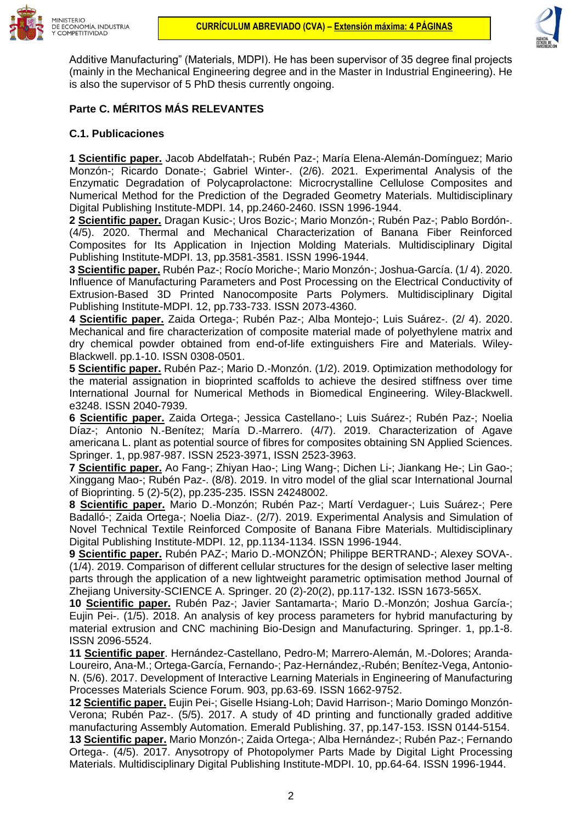



Additive Manufacturing" (Materials, MDPI). He has been supervisor of 35 degree final projects (mainly in the Mechanical Engineering degree and in the Master in Industrial Engineering). He is also the supervisor of 5 PhD thesis currently ongoing.

## **Parte C. MÉRITOS MÁS RELEVANTES**

#### **C.1. Publicaciones**

**1 Scientific paper.** Jacob Abdelfatah-; Rubén Paz-; María Elena-Alemán-Domínguez; Mario Monzón-; Ricardo Donate-; Gabriel Winter-. (2/6). 2021. Experimental Analysis of the Enzymatic Degradation of Polycaprolactone: Microcrystalline Cellulose Composites and Numerical Method for the Prediction of the Degraded Geometry Materials. Multidisciplinary Digital Publishing Institute-MDPI. 14, pp.2460-2460. ISSN 1996-1944.

**2 Scientific paper.** Dragan Kusic-; Uros Bozic-; Mario Monzón-; Rubén Paz-; Pablo Bordón-. (4/5). 2020. Thermal and Mechanical Characterization of Banana Fiber Reinforced Composites for Its Application in Injection Molding Materials. Multidisciplinary Digital Publishing Institute-MDPI. 13, pp.3581-3581. ISSN 1996-1944.

**3 Scientific paper.** Rubén Paz-; Rocío Moriche-; Mario Monzón-; Joshua-García. (1/ 4). 2020. Influence of Manufacturing Parameters and Post Processing on the Electrical Conductivity of Extrusion-Based 3D Printed Nanocomposite Parts Polymers. Multidisciplinary Digital Publishing Institute-MDPI. 12, pp.733-733. ISSN 2073-4360.

**4 Scientific paper.** Zaida Ortega-; Rubén Paz-; Alba Montejo-; Luis Suárez-. (2/ 4). 2020. Mechanical and fire characterization of composite material made of polyethylene matrix and dry chemical powder obtained from end-of-life extinguishers Fire and Materials. Wiley-Blackwell. pp.1-10. ISSN 0308-0501.

**5 Scientific paper.** Rubén Paz-; Mario D.-Monzón. (1/2). 2019. Optimization methodology for the material assignation in bioprinted scaffolds to achieve the desired stiffness over time International Journal for Numerical Methods in Biomedical Engineering. Wiley-Blackwell. e3248. ISSN 2040-7939.

**6 Scientific paper.** Zaida Ortega-; Jessica Castellano-; Luis Suárez-; Rubén Paz-; Noelia Díaz-; Antonio N.-Benítez; María D.-Marrero. (4/7). 2019. Characterization of Agave americana L. plant as potential source of fibres for composites obtaining SN Applied Sciences. Springer. 1, pp.987-987. ISSN 2523-3971, ISSN 2523-3963.

**7 Scientific paper.** Ao Fang-; Zhiyan Hao-; Ling Wang-; Dichen Li-; Jiankang He-; Lin Gao-; Xinggang Mao-; Rubén Paz-. (8/8). 2019. In vitro model of the glial scar International Journal of Bioprinting. 5 (2)-5(2), pp.235-235. ISSN 24248002.

**8 Scientific paper.** Mario D.-Monzón; Rubén Paz-; Martí Verdaguer-; Luis Suárez-; Pere Badalló-; Zaida Ortega-; Noelia Diaz-. (2/7). 2019. Experimental Analysis and Simulation of Novel Technical Textile Reinforced Composite of Banana Fibre Materials. Multidisciplinary Digital Publishing Institute-MDPI. 12, pp.1134-1134. ISSN 1996-1944.

**9 Scientific paper.** Rubén PAZ-; Mario D.-MONZÓN; Philippe BERTRAND-; Alexey SOVA-. (1/4). 2019. Comparison of different cellular structures for the design of selective laser melting parts through the application of a new lightweight parametric optimisation method Journal of Zhejiang University-SCIENCE A. Springer. 20 (2)-20(2), pp.117-132. ISSN 1673-565X.

**10 Scientific paper.** Rubén Paz-; Javier Santamarta-; Mario D.-Monzón; Joshua García-; Eujin Pei-. (1/5). 2018. An analysis of key process parameters for hybrid manufacturing by material extrusion and CNC machining Bio-Design and Manufacturing. Springer. 1, pp.1-8. ISSN 2096-5524.

**11 Scientific paper**. Hernández-Castellano, Pedro-M; Marrero-Alemán, M.-Dolores; Aranda-Loureiro, Ana-M.; Ortega-García, Fernando-; Paz-Hernández,-Rubén; Benítez-Vega, Antonio-N. (5/6). 2017. Development of Interactive Learning Materials in Engineering of Manufacturing Processes Materials Science Forum. 903, pp.63-69. ISSN 1662-9752.

**12 Scientific paper.** Eujin Pei-; Giselle Hsiang-Loh; David Harrison-; Mario Domingo Monzón-Verona; Rubén Paz-. (5/5). 2017. A study of 4D printing and functionally graded additive manufacturing Assembly Automation. Emerald Publishing. 37, pp.147-153. ISSN 0144-5154.

**13 Scientific paper.** Mario Monzón-; Zaida Ortega-; Alba Hernández-; Rubén Paz-; Fernando Ortega-. (4/5). 2017. Anysotropy of Photopolymer Parts Made by Digital Light Processing Materials. Multidisciplinary Digital Publishing Institute-MDPI. 10, pp.64-64. ISSN 1996-1944.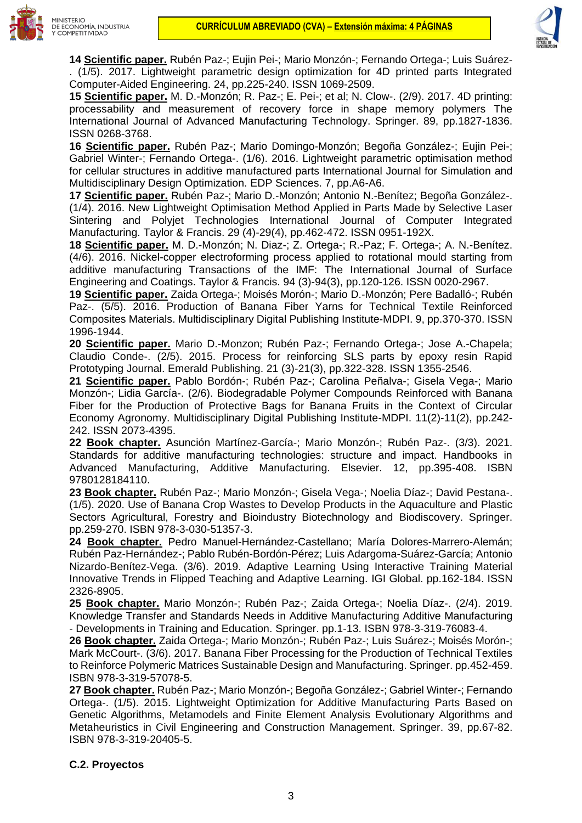



**14 Scientific paper.** Rubén Paz-; Eujin Pei-; Mario Monzón-; Fernando Ortega-; Luis Suárez- . (1/5). 2017. Lightweight parametric design optimization for 4D printed parts Integrated Computer-Aided Engineering. 24, pp.225-240. ISSN 1069-2509.

**15 Scientific paper.** M. D.-Monzón; R. Paz-; E. Pei-; et al; N. Clow-. (2/9). 2017. 4D printing: processability and measurement of recovery force in shape memory polymers The International Journal of Advanced Manufacturing Technology. Springer. 89, pp.1827-1836. ISSN 0268-3768.

**16 Scientific paper.** Rubén Paz-; Mario Domingo-Monzón; Begoña González-; Eujin Pei-; Gabriel Winter-; Fernando Ortega-. (1/6). 2016. Lightweight parametric optimisation method for cellular structures in additive manufactured parts International Journal for Simulation and Multidisciplinary Design Optimization. EDP Sciences. 7, pp.A6-A6.

**17 Scientific paper.** Rubén Paz-; Mario D.-Monzón; Antonio N.-Benítez; Begoña González-. (1/4). 2016. New Lightweight Optimisation Method Applied in Parts Made by Selective Laser Sintering and Polyjet Technologies International Journal of Computer Integrated Manufacturing. Taylor & Francis. 29 (4)-29(4), pp.462-472. ISSN 0951-192X.

**18 Scientific paper.** M. D.-Monzón; N. Diaz-; Z. Ortega-; R.-Paz; F. Ortega-; A. N.-Benítez. (4/6). 2016. Nickel-copper electroforming process applied to rotational mould starting from additive manufacturing Transactions of the IMF: The International Journal of Surface Engineering and Coatings. Taylor & Francis. 94 (3)-94(3), pp.120-126. ISSN 0020-2967.

**19 Scientific paper.** Zaida Ortega-; Moisés Morón-; Mario D.-Monzón; Pere Badalló-; Rubén Paz-. (5/5). 2016. Production of Banana Fiber Yarns for Technical Textile Reinforced Composites Materials. Multidisciplinary Digital Publishing Institute-MDPI. 9, pp.370-370. ISSN 1996-1944.

**20 Scientific paper.** Mario D.-Monzon; Rubén Paz-; Fernando Ortega-; Jose A.-Chapela; Claudio Conde-. (2/5). 2015. Process for reinforcing SLS parts by epoxy resin Rapid Prototyping Journal. Emerald Publishing. 21 (3)-21(3), pp.322-328. ISSN 1355-2546.

**21 Scientific paper.** Pablo Bordón-; Rubén Paz-; Carolina Peñalva-; Gisela Vega-; Mario Monzón-; Lidia García-. (2/6). Biodegradable Polymer Compounds Reinforced with Banana Fiber for the Production of Protective Bags for Banana Fruits in the Context of Circular Economy Agronomy. Multidisciplinary Digital Publishing Institute-MDPI. 11(2)-11(2), pp.242- 242. ISSN 2073-4395.

**22 Book chapter.** Asunción Martínez-García-; Mario Monzón-; Rubén Paz-. (3/3). 2021. Standards for additive manufacturing technologies: structure and impact. Handbooks in Advanced Manufacturing, Additive Manufacturing. Elsevier. 12, pp.395-408. ISBN 9780128184110.

**23 Book chapter.** Rubén Paz-; Mario Monzón-; Gisela Vega-; Noelia Díaz-; David Pestana-. (1/5). 2020. Use of Banana Crop Wastes to Develop Products in the Aquaculture and Plastic Sectors Agricultural, Forestry and Bioindustry Biotechnology and Biodiscovery. Springer. pp.259-270. ISBN 978-3-030-51357-3.

**24 Book chapter.** Pedro Manuel-Hernández-Castellano; María Dolores-Marrero-Alemán; Rubén Paz-Hernández-; Pablo Rubén-Bordón-Pérez; Luis Adargoma-Suárez-García; Antonio Nizardo-Benítez-Vega. (3/6). 2019. Adaptive Learning Using Interactive Training Material Innovative Trends in Flipped Teaching and Adaptive Learning. IGI Global. pp.162-184. ISSN 2326-8905.

**25 Book chapter.** Mario Monzón-; Rubén Paz-; Zaida Ortega-; Noelia Díaz-. (2/4). 2019. Knowledge Transfer and Standards Needs in Additive Manufacturing Additive Manufacturing - Developments in Training and Education. Springer. pp.1-13. ISBN 978-3-319-76083-4.

**26 Book chapter.** Zaida Ortega-; Mario Monzón-; Rubén Paz-; Luis Suárez-; Moisés Morón-; Mark McCourt-. (3/6). 2017. Banana Fiber Processing for the Production of Technical Textiles to Reinforce Polymeric Matrices Sustainable Design and Manufacturing. Springer. pp.452-459. ISBN 978-3-319-57078-5.

**27 Book chapter.** Rubén Paz-; Mario Monzón-; Begoña González-; Gabriel Winter-; Fernando Ortega-. (1/5). 2015. Lightweight Optimization for Additive Manufacturing Parts Based on Genetic Algorithms, Metamodels and Finite Element Analysis Evolutionary Algorithms and Metaheuristics in Civil Engineering and Construction Management. Springer. 39, pp.67-82. ISBN 978-3-319-20405-5.

# **C.2. Proyectos**